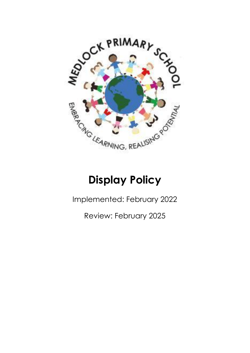

## **Display Policy**

Implemented: February 2022

Review: February 2025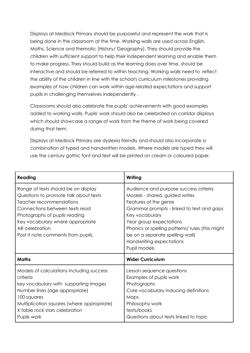Displays at Medlock Primary should be purposeful and represent the work that is being done in the classroom at the time. Working walls are used across English, Maths, Science and thematic (History/ Geography). They should provide the children with sufficient support to help their independent learning and enable them to make progress. They should build as the learning does over time, should be interactive and should be referred to within teaching. Working walls need to reflect the ability of the children in line with the school's curriculum milestones providing examples of how children can work within age-related expectations and support pupils in challenging themselves independently .

Classrooms should also celebrate the pupils' achievements with good examples added to working walls. Pupils' work should also be celebrated on corridor displays which should showcase a range of work from the theme of work being covered during that term.

Displays at Medlock Primary are dyslexia friendly and should also incorporate a combination of typed and handwritten models. Where models are typed they will use the century gothic font and text will be printed on cream or coloured paper.

| Reading                                                                                                                                                                                                                                                                | Writing                                                                                                                                                                                                                                                                                                                      |
|------------------------------------------------------------------------------------------------------------------------------------------------------------------------------------------------------------------------------------------------------------------------|------------------------------------------------------------------------------------------------------------------------------------------------------------------------------------------------------------------------------------------------------------------------------------------------------------------------------|
| Range of texts should be on display<br>Questions to promote talk about texts<br>Teacher recommendations<br>Connections between texts read<br>Photographs of pupils reading<br>Key vocabulary where appropriate<br>AR celebration<br>Post it note comments from pupils. | Audience and purpose success criteria<br>Models - shared, guided writes<br>Features of the genre<br>Grammar prompts - linked to text and gaps<br>Key vocabulary<br>Year group expectations<br>Phonics or spelling patterns/ rules (this might<br>be on a separate spelling wall)<br>Handwriting expectations<br>Pupil models |
| <b>Maths</b>                                                                                                                                                                                                                                                           | <b>Wider Curriculum</b>                                                                                                                                                                                                                                                                                                      |
| Models of calculations including success<br>criteria<br>key vocabulary with supporting images<br>Number lines (age appropriate)<br>100 squares<br>Multiplication squares (where appropriate)<br>X table rock stars celebration<br>Pupils work                          | Lesson sequence questions<br>Examples of pupils work<br>Photographs<br>Core vocabulary inducing definitions<br>Maps<br>Philosophy work<br>texts/books<br>Questions about texts linked to topic                                                                                                                               |